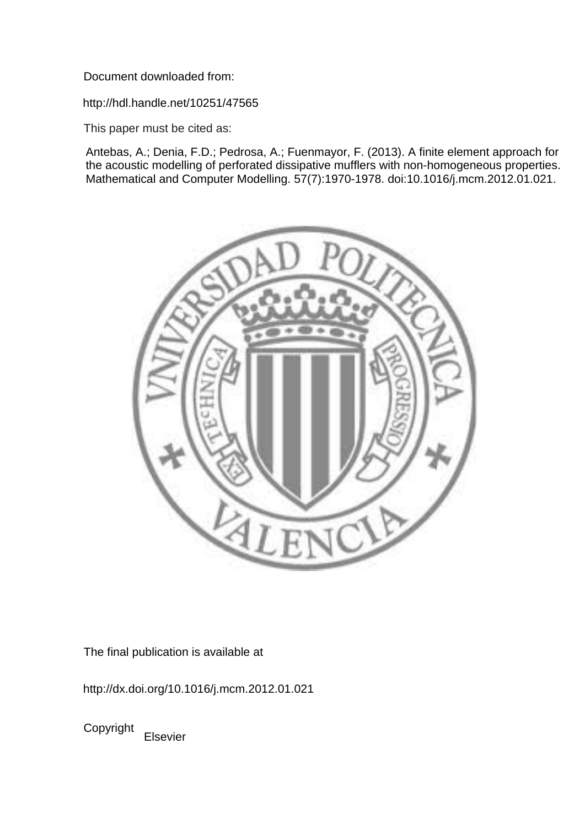Document downloaded from:

http://hdl.handle.net/10251/47565

This paper must be cited as:

Antebas, A.; Denia, F.D.; Pedrosa, A.; Fuenmayor, F. (2013). A finite element approach for the acoustic modelling of perforated dissipative mufflers with non-homogeneous properties. Mathematical and Computer Modelling. 57(7):1970-1978. doi:10.1016/j.mcm.2012.01.021.



The final publication is available at

http://dx.doi.org/10.1016/j.mcm.2012.01.021

Copyright

Elsevier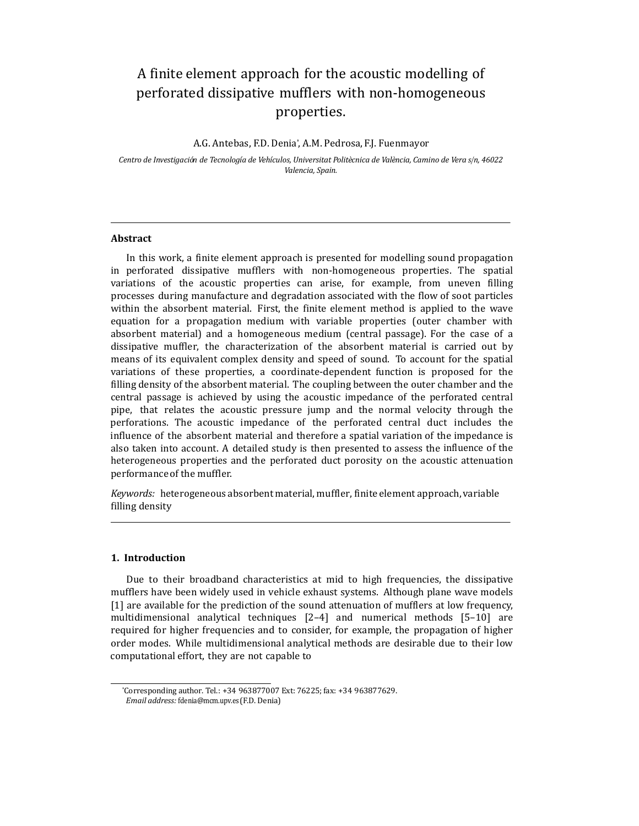# A finite element approach for the acoustic modelling of perforated dissipative mufflers with non-homogeneous properties.

A.G. Antebas, F.D. Denia<sup>∗</sup> , A.M. Pedrosa, F.J. Fuenmayor

*Centro de Investigacio´n de Tecnolog´ıa de Veh´ıculos, Universitat Polite`cnica de Vale`ncia, Camino de Vera s/n, 46022 Valencia, Spain.*

## **Abstract**

In this work, a finite element approach is presented for modelling sound propagation in perforated dissipative mufflers with non-homogeneous properties. The spatial variations of the acoustic properties can arise, for example, from uneven filling processes during manufacture and degradation associated with the flow of soot particles within the absorbent material. First, the finite element method is applied to the wave equation for a propagation medium with variable properties (outer chamber with absorbent material) and a homogeneous medium (central passage). For the case of a dissipative muffler, the characterization of the absorbent material is carried out by means of its equivalent complex density and speed of sound. To account for the spatial variations of these properties, a coordinate-dependent function is proposed for the filling density of the absorbent material. The coupling between the outer chamber and the central passage is achieved by using the acoustic impedance of the perforated central pipe, that relates the acoustic pressure jump and the normal velocity through the perforations. The acoustic impedance of the perforated central duct includes the influence of the absorbent material and therefore a spatial variation of the impedance is also taken into account. A detailed study is then presented to assess the influence of the heterogeneous properties and the perforated duct porosity on the acoustic attenuation performanceof the muffler.

*Keywords:* heterogeneous absorbent material, muffler, finite element approach, variable filling density

# **1. Introduction**

Due to their broadband characteristics at mid to high frequencies, the dissipative mufflers have been widely used in vehicle exhaust systems. Although plane wave models [1] are available for the prediction of the sound attenuation of mufflers at low frequency, multidimensional analytical techniques [2–4] and numerical methods [5–10] are required for higher frequencies and to consider, for example, the propagation of higher order modes. While multidimensional analytical methods are desirable due to their low computational effort, they are not capable to

<sup>∗</sup> Corresponding author. Tel.: +34 963877007 Ext: 76225; fax: +34 963877629.

*Email address:* [fdenia@mcm.upv.es\(](mailto:fdenia@mcm.upv.es)F.D. Denia)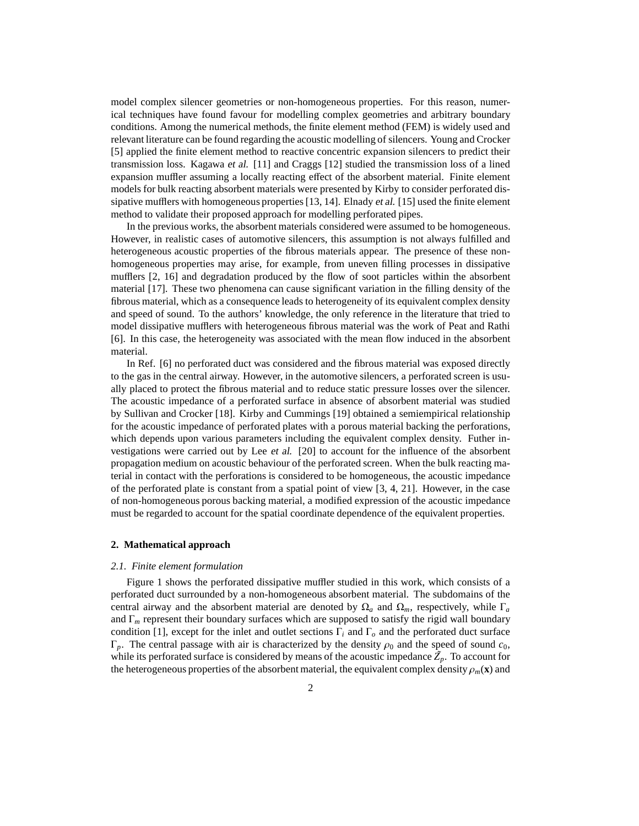model complex silencer geometries or non-homogeneous properties. For this reason, numerical techniques have found favour for modelling complex geometries and arbitrary boundary conditions. Among the numerical methods, the finite element method (FEM) is widely used and relevant literature can be found regarding the acoustic modelling of silencers. Young and Crocker [5] applied the finite element method to reactive concentric expansion silencers to predict their transmission loss. Kagawa et al. [11] and Craggs [12] studied the transmission loss of a lined expansion muffler assuming a locally reacting effect of the absorbent material. Finite element models for bulk reacting absorbent materials were presented by Kirby to consider perforated dissipative mufflers with homogeneous properties  $[13, 14]$ . Elnady et al.  $[15]$  used the finite element method to validate their proposed approach for modelling perforated pipes.

In the previous works, the absorbent materials considered were assumed to be homogeneous. However, in realistic cases of automotive silencers, this assumption is not always fulfilled and heterogeneous acoustic properties of the fibrous materials appear. The presence of these nonhomogeneous properties may arise, for example, from uneven filling processes in dissipative mufflers [2, 16] and degradation produced by the flow of soot particles within the absorbent material [17]. These two phenomena can cause significant variation in the filling density of the fibrous material, which as a consequence leads to heterogeneity of its equivalent complex density and speed of sound. To the authors' knowledge, the only reference in the literature that tried to model dissipative mufflers with heterogeneous fibrous material was the work of Peat and Rathi [6]. In this case, the heterogeneity was associated with the mean flow induced in the absorbent material.

In Ref. [6] no perforated duct was considered and the fibrous material was exposed directly to the gas in the central airway. However, in the automotive silencers, a perforated screen is usually placed to protect the fibrous material and to reduce static pressure losses over the silencer. The acoustic impedance of a perforated surface in absence of absorbent material was studied by Sullivan and Crocker [18]. Kirby and Cummings [19] obtained a semiempirical relationship for the acoustic impedance of perforated plates with a porous material backing the perforations, which depends upon various parameters including the equivalent complex density. Futher investigations were carried out by Lee et al. [20] to account for the influence of the absorbent propagation medium on acoustic behaviour of the perforated screen. When the bulk reacting material in contact with the perforations is considered to be homogeneous, the acoustic impedance of the perforated plate is constant from a spatial point of view [3, 4, 21]. However, in the case of non-homogeneous porous backing material, a modified expression of the acoustic impedance must be regarded to account for the spatial coordinate dependence of the equivalent properties.

## **2. Mathematical approach**

#### *2.1. Finite element formulation*

Figure 1 shows the perforated dissipative muffler studied in this work, which consists of a perforated duct surrounded by a non-homogeneous absorbent material. The subdomains of the central airway and the absorbent material are denoted by  $\Omega_a$  and  $\Omega_m$ , respectively, while  $\Gamma_a$ and Γ*<sup>m</sup>* represent their boundary surfaces which are supposed to satisfy the rigid wall boundary condition [1], except for the inlet and outlet sections  $\Gamma_i$  and  $\Gamma_o$  and the perforated duct surface  $Γ<sub>p</sub>$ . The central passage with air is characterized by the density  $ρ<sub>0</sub>$  and the speed of sound  $c<sub>0</sub>$ , while its perforated surface is considered by means of the acoustic impedance  $\tilde{Z}_p$ . To account for the heterogeneous properties of the absorbent material, the equivalent complex density  $\rho_m(\mathbf{x})$  and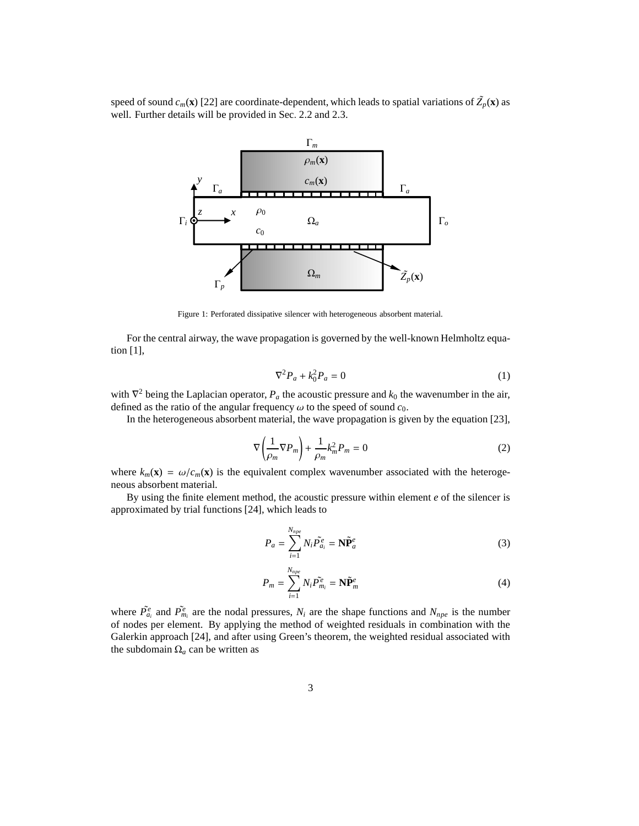speed of sound  $c_m(\mathbf{x})$  [22] are coordinate-dependent, which leads to spatial variations of  $\tilde{Z}_p(\mathbf{x})$  as well. Further details will be provided in Sec. 2.2 and 2.3.



Figure 1: Perforated dissipative silencer with heterogeneous absorbent material.

For the central airway, the wave propagation is governed by the well-known Helmholtz equation [1],

$$
\nabla^2 P_a + k_0^2 P_a = 0 \tag{1}
$$

with  $\nabla^2$  being the Laplacian operator,  $P_a$  the acoustic pressure and  $k_0$  the wavenumber in the air, defined as the ratio of the angular frequency  $\omega$  to the speed of sound  $c_0$ .

In the heterogeneous absorbent material, the wave propagation is given by the equation [23],

$$
\nabla \left(\frac{1}{\rho_m} \nabla P_m\right) + \frac{1}{\rho_m} k_m^2 P_m = 0
$$
\n(2)

where  $k_m(\mathbf{x}) = \omega/c_m(\mathbf{x})$  is the equivalent complex wavenumber associated with the heterogeneous absorbent material.

By using the finite element method, the acoustic pressure within element *e* of the silencer is approximated by trial functions [24], which leads to

$$
P_a = \sum_{i=1}^{N_{npe}} N_i \tilde{P}_{a_i}^e = \mathbf{N} \tilde{P}_a^e
$$
 (3)

$$
P_m = \sum_{i=1}^{N_{npe}} N_i \tilde{P}_{m_i}^e = \mathbf{N} \tilde{\mathbf{P}}_m^e
$$
 (4)

where  $\tilde{P}_{a_i}^e$  and  $\tilde{P}_{m_i}^e$  are the nodal pressures,  $N_i$  are the shape functions and  $N_{npe}$  is the number of nodes per element. By applying the method of weighted residuals in combination with the Galerkin approach [24], and after using Green's theorem, the weighted residual associated with the subdomain  $\Omega_a$  can be written as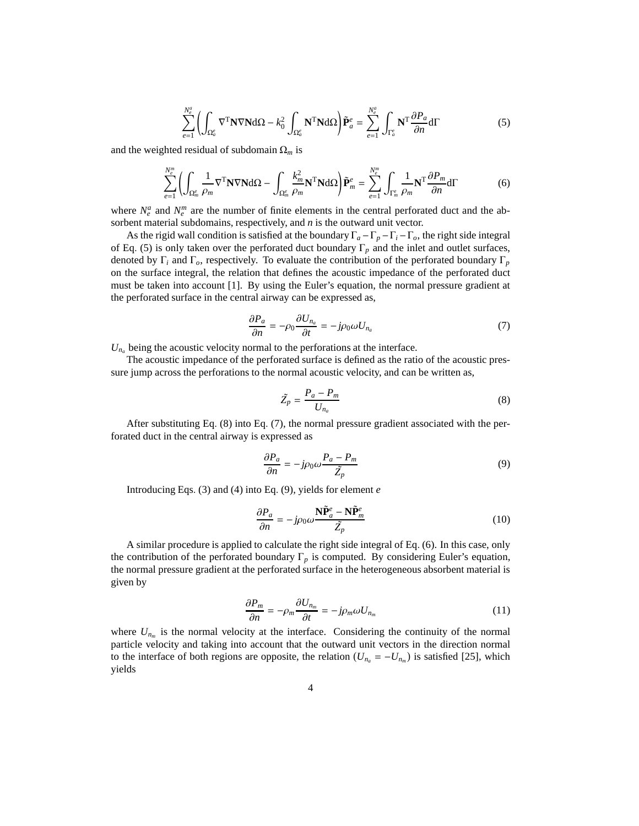$$
\sum_{e=1}^{N_e^a} \left( \int_{\Omega_a^e} \nabla^{\mathsf{T}} \mathbf{N} \nabla \mathbf{N} \mathrm{d}\Omega - k_0^2 \int_{\Omega_a^e} \mathbf{N}^{\mathsf{T}} \mathbf{N} \mathrm{d}\Omega \right) \tilde{\mathbf{P}}_a^e = \sum_{e=1}^{N_e^a} \int_{\Gamma_a^e} \mathbf{N}^{\mathsf{T}} \frac{\partial P_a}{\partial n} \mathrm{d}\Gamma \tag{5}
$$

and the weighted residual of subdomain Ω*<sup>m</sup>* is

$$
\sum_{e=1}^{N_e^m} \left( \int_{\Omega_m^e} \frac{1}{\rho_m} \nabla^{\mathsf{T}} \mathbf{N} \nabla \mathbf{N} \mathrm{d}\Omega - \int_{\Omega_m^e} \frac{k_m^2}{\rho_m} \mathbf{N}^{\mathsf{T}} \mathbf{N} \mathrm{d}\Omega \right) \tilde{\mathbf{P}}_m^e = \sum_{e=1}^{N_e^m} \int_{\Gamma_m^e} \frac{1}{\rho_m} \mathbf{N}^{\mathsf{T}} \frac{\partial P_m}{\partial n} \mathrm{d}\Gamma \tag{6}
$$

where  $N_e^a$  and  $N_e^m$  are the number of finite elements in the central perforated duct and the absorbent material subdomains, respectively, and *n* is the outward unit vector.

As the rigid wall condition is satisfied at the boundary  $\Gamma_a - \Gamma_p - \Gamma_i - \Gamma_o$ , the right side integral of Eq. (5) is only taken over the perforated duct boundary  $\Gamma_p$  and the inlet and outlet surfaces, denoted by Γ*<sup>i</sup>* and Γ*o*, respectively. To evaluate the contribution of the perforated boundary Γ*<sup>p</sup>* on the surface integral, the relation that defines the acoustic impedance of the perforated duct must be taken into account [1]. By using the Euler's equation, the normal pressure gradient at the perforated surface in the central airway can be expressed as,

$$
\frac{\partial P_a}{\partial n} = -\rho_0 \frac{\partial U_{n_a}}{\partial t} = -j\rho_0 \omega U_{n_a} \tag{7}
$$

 $U_{n_a}$  being the acoustic velocity normal to the perforations at the interface.

The acoustic impedance of the perforated surface is defined as the ratio of the acoustic pressure jump across the perforations to the normal acoustic velocity, and can be written as,

$$
\tilde{Z}_p = \frac{P_a - P_m}{U_{n_a}}\tag{8}
$$

After substituting Eq. (8) into Eq. (7), the normal pressure gradient associated with the perforated duct in the central airway is expressed as

$$
\frac{\partial P_a}{\partial n} = -j\rho_0 \omega \frac{P_a - P_m}{\tilde{Z}_p} \tag{9}
$$

Introducing Eqs. (3) and (4) into Eq. (9), yields for element *e*

$$
\frac{\partial P_a}{\partial n} = -j\rho_0 \omega \frac{\mathbf{N} \tilde{\mathbf{P}}_a^e - \mathbf{N} \tilde{\mathbf{P}}_m^e}{\tilde{Z}_p} \tag{10}
$$

A similar procedure is applied to calculate the right side integral of Eq. (6). In this case, only the contribution of the perforated boundary  $\Gamma_p$  is computed. By considering Euler's equation, the normal pressure gradient at the perforated surface in the heterogeneous absorbent material is given by

$$
\frac{\partial P_m}{\partial n} = -\rho_m \frac{\partial U_{n_m}}{\partial t} = -j\rho_m \omega U_{n_m}
$$
\n(11)

where  $U_{n_m}$  is the normal velocity at the interface. Considering the continuity of the normal particle velocity and taking into account that the outward unit vectors in the direction normal to the interface of both regions are opposite, the relation  $(U_{n_a} = -U_{n_m})$  is satisfied [25], which yields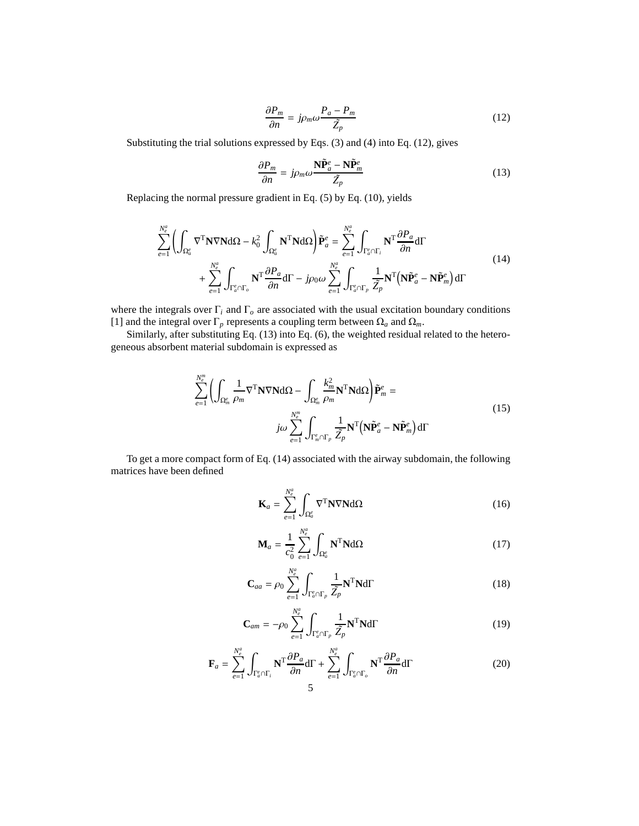$$
\frac{\partial P_m}{\partial n} = j \rho_m \omega \frac{P_a - P_m}{\tilde{Z_p}}
$$
(12)

Substituting the trial solutions expressed by Eqs. (3) and (4) into Eq. (12), gives

$$
\frac{\partial P_m}{\partial n} = j \rho_m \omega \frac{\mathbf{N} \tilde{\mathbf{P}}_a^e - \mathbf{N} \tilde{\mathbf{P}}_m^e}{\tilde{Z}_p}
$$
(13)

Replacing the normal pressure gradient in Eq. (5) by Eq. (10), yields

$$
\sum_{e=1}^{N_e^a} \left( \int_{\Omega_a^e} \nabla^{\mathbf{T}} \mathbf{N} \nabla \mathbf{N} d\Omega - k_0^2 \int_{\Omega_a^e} \mathbf{N}^{\mathbf{T}} \mathbf{N} d\Omega \right) \tilde{\mathbf{P}}_a^e = \sum_{e=1}^{N_e^a} \int_{\Gamma_a^e \cap \Gamma_i} \mathbf{N}^{\mathbf{T}} \frac{\partial P_a}{\partial n} d\Gamma + \sum_{e=1}^{N_e^a} \int_{\Gamma_a^e \cap \Gamma_o} \mathbf{N}^{\mathbf{T}} \frac{\partial P_a}{\partial n} d\Gamma - j \rho_0 \omega \sum_{e=1}^{N_e^a} \int_{\Gamma_a^e \cap \Gamma_p} \frac{1}{\tilde{Z}_p} \mathbf{N}^{\mathbf{T}} (\mathbf{N} \tilde{\mathbf{P}}_a^e - \mathbf{N} \tilde{\mathbf{P}}_m^e) d\Gamma
$$
\n(14)

where the integrals over Γ*<sup>i</sup>* and Γ*<sup>o</sup>* are associated with the usual excitation boundary conditions [1] and the integral over  $\Gamma_p$  represents a coupling term between  $\Omega_a$  and  $\Omega_m$ .

Similarly, after substituting Eq. (13) into Eq. (6), the weighted residual related to the heterogeneous absorbent material subdomain is expressed as

$$
\sum_{e=1}^{N_e^m} \left( \int_{\Omega_m^e} \frac{1}{\rho_m} \nabla^{\mathsf{T}} \mathbf{N} \nabla \mathbf{N} d\Omega - \int_{\Omega_m^e} \frac{k_m^2}{\rho_m} \mathbf{N}^{\mathsf{T}} \mathbf{N} d\Omega \right) \tilde{\mathbf{P}}_m^e =
$$
\n
$$
j\omega \sum_{e=1}^{N_e^m} \int_{\Gamma_m^e \cap \Gamma_p} \frac{1}{\tilde{Z}_p} \mathbf{N}^{\mathsf{T}} \left( \mathbf{N} \tilde{\mathbf{P}}_a^e - \mathbf{N} \tilde{\mathbf{P}}_m^e \right) d\Gamma
$$
\n(15)

To get a more compact form of Eq. (14) associated with the airway subdomain, the following matrices have been defined

$$
\mathbf{K}_a = \sum_{e=1}^{N_e^a} \int_{\Omega_a^e} \nabla^{\mathrm{T}} \mathbf{N} \nabla \mathbf{N} \mathrm{d}\Omega \tag{16}
$$

$$
\mathbf{M}_a = \frac{1}{c_0^2} \sum_{e=1}^{N_e^a} \int_{\Omega_a^e} \mathbf{N}^T \mathbf{N} d\Omega
$$
 (17)

$$
\mathbf{C}_{aa} = \rho_0 \sum_{e=1}^{N_e^a} \int_{\Gamma_a^e \cap \Gamma_p} \frac{1}{\tilde{Z}_p} \mathbf{N}^T \mathbf{N} d\Gamma
$$
 (18)

$$
\mathbf{C}_{am} = -\rho_0 \sum_{e=1}^{N_e^a} \int_{\Gamma_a^e \cap \Gamma_p} \frac{1}{\tilde{Z}_p} \mathbf{N}^{\mathrm{T}} \mathbf{N} d\Gamma \tag{19}
$$

$$
\mathbf{F}_a = \sum_{e=1}^{N_e^a} \int_{\Gamma_a^e \cap \Gamma_i} \mathbf{N}^{\mathrm{T}} \frac{\partial P_a}{\partial n} d\Gamma + \sum_{e=1}^{N_e^a} \int_{\Gamma_a^e \cap \Gamma_o} \mathbf{N}^{\mathrm{T}} \frac{\partial P_a}{\partial n} d\Gamma \tag{20}
$$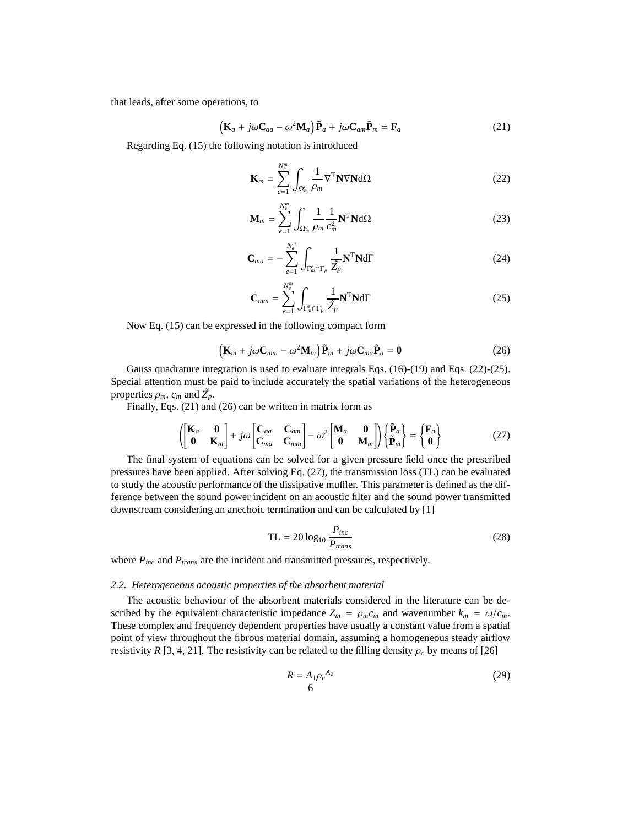that leads, after some operations, to

$$
\left(\mathbf{K}_a + j\omega \mathbf{C}_{aa} - \omega^2 \mathbf{M}_a\right) \tilde{\mathbf{P}}_a + j\omega \mathbf{C}_{am} \tilde{\mathbf{P}}_m = \mathbf{F}_a \tag{21}
$$

Regarding Eq. (15) the following notation is introduced

$$
\mathbf{K}_{m} = \sum_{e=1}^{N_{e}^{m}} \int_{\Omega_{m}^{e}} \frac{1}{\rho_{m}} \nabla^{\mathrm{T}} \mathbf{N} \nabla \mathbf{N} \mathrm{d}\Omega \qquad (22)
$$

$$
\mathbf{M}_{m} = \sum_{e=1}^{N_{e}^{m}} \int_{\Omega_{m}^{e}} \frac{1}{\rho_{m}} \frac{1}{c_{m}^{2}} \mathbf{N}^{\mathrm{T}} \mathbf{N} d\Omega
$$
 (23)

$$
\mathbf{C}_{ma} = -\sum_{e=1}^{N_e^m} \int_{\Gamma_m^e \cap \Gamma_p} \frac{1}{\tilde{Z}_p} \mathbf{N}^{\mathrm{T}} \mathbf{N} d\Gamma \tag{24}
$$

$$
\mathbf{C}_{mm} = \sum_{e=1}^{N_e^m} \int_{\Gamma_m^e \cap \Gamma_p} \frac{1}{\tilde{Z}_p} \mathbf{N}^{\mathrm{T}} \mathbf{N} \mathrm{d}\Gamma \tag{25}
$$

Now Eq. (15) can be expressed in the following compact form

$$
\left(\mathbf{K}_m + j\omega\mathbf{C}_{mm} - \omega^2\mathbf{M}_m\right)\tilde{\mathbf{P}}_m + j\omega\mathbf{C}_{ma}\tilde{\mathbf{P}}_a = \mathbf{0}
$$
 (26)

Gauss quadrature integration is used to evaluate integrals Eqs. (16)-(19) and Eqs. (22)-(25). Special attention must be paid to include accurately the spatial variations of the heterogeneous properties  $\rho_m$ ,  $c_m$  and  $\tilde{Z_p}$ .

Finally, Eqs. (21) and (26) can be written in matrix form as

$$
\begin{pmatrix} \begin{bmatrix} \mathbf{K}_a & \mathbf{0} \\ \mathbf{0} & \mathbf{K}_m \end{bmatrix} + j\omega \begin{bmatrix} \mathbf{C}_{aa} & \mathbf{C}_{am} \\ \mathbf{C}_{ma} & \mathbf{C}_{mm} \end{bmatrix} - \omega^2 \begin{bmatrix} \mathbf{M}_a & \mathbf{0} \\ \mathbf{0} & \mathbf{M}_m \end{bmatrix} \begin{Bmatrix} \tilde{\mathbf{P}}_a \\ \tilde{\mathbf{P}}_m \end{Bmatrix} = \begin{Bmatrix} \mathbf{F}_a \\ \mathbf{0} \end{Bmatrix}
$$
(27)

The final system of equations can be solved for a given pressure field once the prescribed pressures have been applied. After solving Eq. (27), the transmission loss (TL) can be evaluated to study the acoustic performance of the dissipative muffler. This parameter is defined as the difference between the sound power incident on an acoustic filter and the sound power transmitted downstream considering an anechoic termination and can be calculated by [1]

$$
TL = 20 \log_{10} \frac{P_{inc}}{P_{trans}} \tag{28}
$$

where *Pinc* and *Ptrans* are the incident and transmitted pressures, respectively.

## *2.2. Heterogeneous acoustic properties of the absorbent material*

The acoustic behaviour of the absorbent materials considered in the literature can be described by the equivalent characteristic impedance  $Z_m = \rho_m c_m$  and wavenumber  $k_m = \omega/c_m$ . These complex and frequency dependent properties have usually a constant value from a spatial point of view throughout the fibrous material domain, assuming a homogeneous steady airflow resistivity *R* [3, 4, 21]. The resistivity can be related to the filling density  $\rho_c$  by means of [26]

$$
R = A_1 \rho_c^{A_2} \tag{29}
$$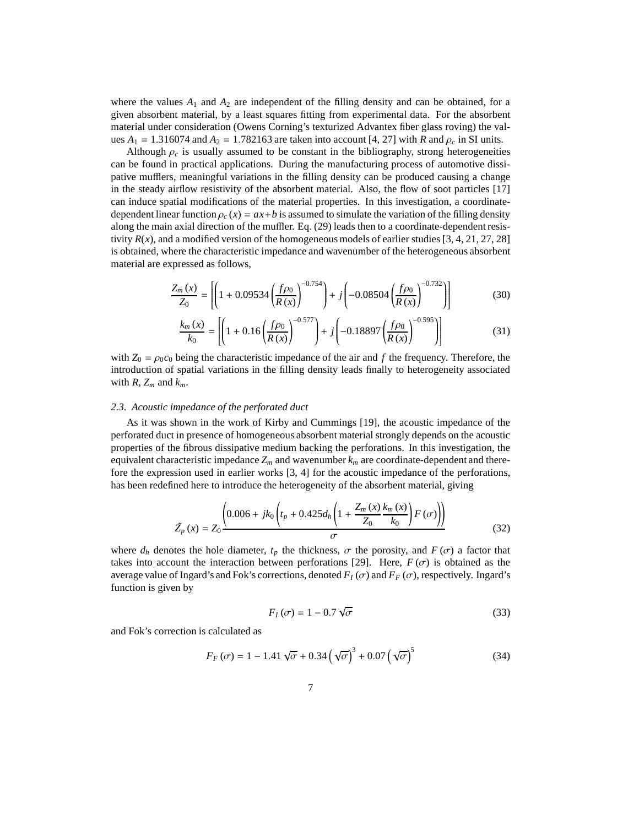where the values  $A_1$  and  $A_2$  are independent of the filling density and can be obtained, for a given absorbent material, by a least squares fitting from experimental data. For the absorbent material under consideration (Owens Corning's texturized Advantex fiber glass roving) the values  $A_1 = 1.316074$  and  $A_2 = 1.782163$  are taken into account [4, 27] with *R* and  $\rho_c$  in SI units.

Although  $\rho_c$  is usually assumed to be constant in the bibliography, strong heterogeneities can be found in practical applications. During the manufacturing process of automotive dissipative mufflers, meaningful variations in the filling density can be produced causing a change in the steady airflow resistivity of the absorbent material. Also, the flow of soot particles [17] can induce spatial modifications of the material properties. In this investigation, a coordinatedependent linear function  $\rho_c(x) = ax + b$  is assumed to simulate the variation of the filling density along the main axial direction of the muffler. Eq. (29) leads then to a coordinate-dependent resistivity  $R(x)$ , and a modified version of the homogeneous models of earlier studies [3, 4, 21, 27, 28] is obtained, where the characteristic impedance and wavenumber of the heterogeneous absorbent material are expressed as follows,

$$
\frac{Z_m(x)}{Z_0} = \left[ \left( 1 + 0.09534 \left( \frac{f \rho_0}{R(x)} \right)^{-0.754} \right) + j \left( -0.08504 \left( \frac{f \rho_0}{R(x)} \right)^{-0.732} \right) \right]
$$
(30)

$$
\frac{k_m(x)}{k_0} = \left[ \left( 1 + 0.16 \left( \frac{f \rho_0}{R(x)} \right)^{-0.577} \right) + j \left( -0.18897 \left( \frac{f \rho_0}{R(x)} \right)^{-0.595} \right) \right]
$$
(31)

with  $Z_0 = \rho_0 c_0$  being the characteristic impedance of the air and f the frequency. Therefore, the introduction of spatial variations in the filling density leads finally to heterogeneity associated with  $R$ ,  $Z_m$  and  $k_m$ .

## *2.3. Acoustic impedance of the perforated duct*

As it was shown in the work of Kirby and Cummings [19], the acoustic impedance of the perforated duct in presence of homogeneous absorbent material strongly depends on the acoustic properties of the fibrous dissipative medium backing the perforations. In this investigation, the equivalent characteristic impedance  $Z_m$  and wavenumber  $k_m$  are coordinate-dependent and therefore the expression used in earlier works [3, 4] for the acoustic impedance of the perforations, has been redefined here to introduce the heterogeneity of the absorbent material, giving

$$
\tilde{Z}_p(x) = Z_0 \frac{\left(0.006 + jk_0 \left(t_p + 0.425 d_h \left(1 + \frac{Z_m(x)}{Z_0} \frac{k_m(x)}{k_0}\right) F(\sigma)\right)\right)}{\sigma} \tag{32}
$$

where  $d_h$  denotes the hole diameter,  $t_p$  the thickness,  $\sigma$  the porosity, and  $F(\sigma)$  a factor that takes into account the interaction between perforations [29]. Here,  $F(\sigma)$  is obtained as the average value of Ingard's and Fok's corrections, denoted  $F_I(\sigma)$  and  $F_F(\sigma)$ , respectively. Ingard's function is given by

$$
F_I(\sigma) = 1 - 0.7\sqrt{\sigma} \tag{33}
$$

and Fok's correction is calculated as

$$
F_F(\sigma) = 1 - 1.41\sqrt{\sigma} + 0.34\left(\sqrt{\sigma}\right)^3 + 0.07\left(\sqrt{\sigma}\right)^5\tag{34}
$$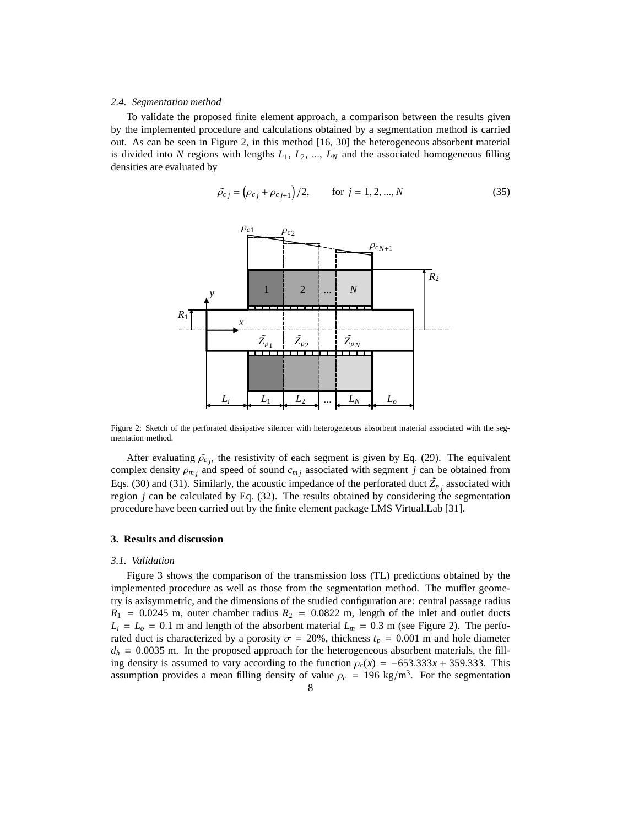#### *2.4. Segmentation method*

To validate the proposed finite element approach, a comparison between the results given by the implemented procedure and calculations obtained by a segmentation method is carried out. As can be seen in Figure 2, in this method [16, 30] the heterogeneous absorbent material is divided into N regions with lengths  $L_1$ ,  $L_2$ , ...,  $L_N$  and the associated homogeneous filling densities are evaluated by

 $\sqrt{2}$ 

$$
\tilde{\rho}_{cj} = (\rho_{cj} + \rho_{cj+1})/2, \qquad \text{for } j = 1, 2, ..., N
$$
\n(35)



Figure 2: Sketch of the perforated dissipative silencer with heterogeneous absorbent material associated with the segmentation method.

After evaluating  $\tilde{\rho}_{c_j}$ , the resistivity of each segment is given by Eq. (29). The equivalent complex density  $\rho_{m_j}$  and speed of sound  $c_{m_j}$  associated with segment *j* can be obtained from Eqs. (30) and (31). Similarly, the acoustic impedance of the perforated duct  $\tilde{Z}_{p_j}$  associated with region  $j$  can be calculated by Eq.  $(32)$ . The results obtained by considering the segmentation procedure have been carried out by the finite element package LMS Virtual.Lab [31].

## **3. Results and discussion**

#### *3.1. Validation*

Figure 3 shows the comparison of the transmission loss (TL) predictions obtained by the implemented procedure as well as those from the segmentation method. The muffler geometry is axisymmetric, and the dimensions of the studied configuration are: central passage radius  $R_1 = 0.0245$  m, outer chamber radius  $R_2 = 0.0822$  m, length of the inlet and outlet ducts  $L_i = L_o = 0.1$  m and length of the absorbent material  $L_m = 0.3$  m (see Figure 2). The perforated duct is characterized by a porosity  $\sigma = 20\%$ , thickness  $t_p = 0.001$  m and hole diameter  $d_h$  = 0.0035 m. In the proposed approach for the heterogeneous absorbent materials, the filling density is assumed to vary according to the function  $\rho_c(x) = -653.333x + 359.333$ . This assumption provides a mean filling density of value  $\rho_c = 196 \text{ kg/m}^3$ . For the segmentation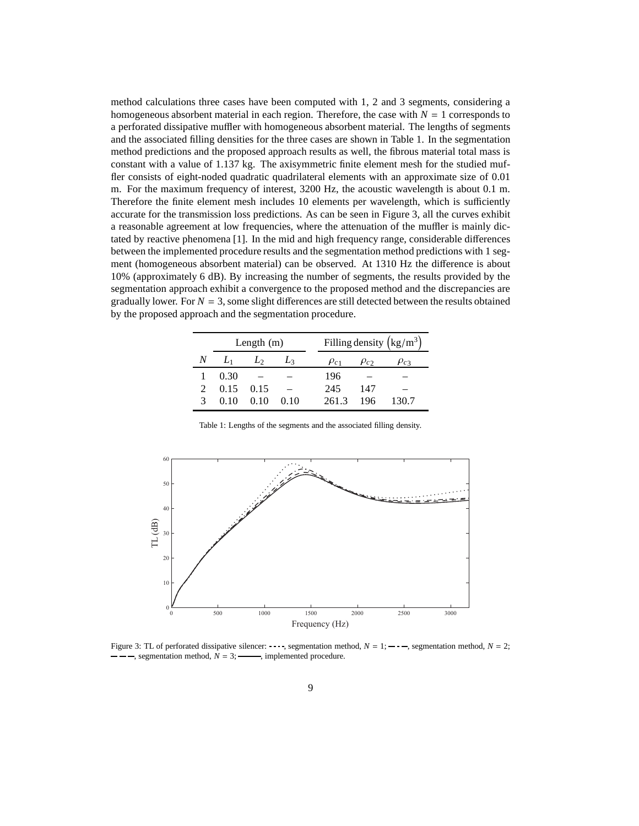method calculations three cases have been computed with 1, 2 and 3 segments, considering a homogeneous absorbent material in each region. Therefore, the case with  $N = 1$  corresponds to a perforated dissipative muffler with homogeneous absorbent material. The lengths of segments and the associated filling densities for the three cases are shown in Table 1. In the segmentation method predictions and the proposed approach results as well, the fibrous material total mass is constant with a value of 1.137 kg. The axisymmetric finite element mesh for the studied muffler consists of eight-noded quadratic quadrilateral elements with an approximate size of 0.01 m. For the maximum frequency of interest, 3200 Hz, the acoustic wavelength is about 0.1 m. Therefore the finite element mesh includes 10 elements per wavelength, which is sufficiently accurate for the transmission loss predictions. As can be seen in Figure 3, all the curves exhibit a reasonable agreement at low frequencies, where the attenuation of the muffler is mainly dictated by reactive phenomena [1]. In the mid and high frequency range, considerable differences between the implemented procedure results and the segmentation method predictions with 1 segment (homogeneous absorbent material) can be observed. At 1310 Hz the difference is about 10% (approximately 6 dB). By increasing the number of segments, the results provided by the segmentation approach exhibit a convergence to the proposed method and the discrepancies are gradually lower. For  $N = 3$ , some slight differences are still detected between the results obtained by the proposed approach and the segmentation procedure.

|   | Length $(m)$ |                   |      | Filling density $\left(\frac{kg}{m^3}\right)$ |             |             |
|---|--------------|-------------------|------|-----------------------------------------------|-------------|-------------|
|   |              | $\mathcal{L}_{2}$ | Lз   | $\rho_{c1}$                                   | $\rho_{c2}$ | $\rho_{c3}$ |
|   | 0.30         |                   |      | 196                                           |             |             |
|   | 0.15         | 0.15              |      | 245                                           | 147         |             |
| 3 | 0. IO        | 0.10              | 0.10 | 2613                                          | 196         | 130 7       |



Table 1: Lengths of the segments and the associated filling density.

Figure 3: TL of perforated dissipative silencer:  $\dots$ , segmentation method,  $N = 1$ ;  $\dots$ , segmentation method,  $N = 2$ ;  $\overline{\phantom{m}}$ , segmentation method,  $N = 3$ ;  $\overline{\phantom{m}}$ , implemented procedure.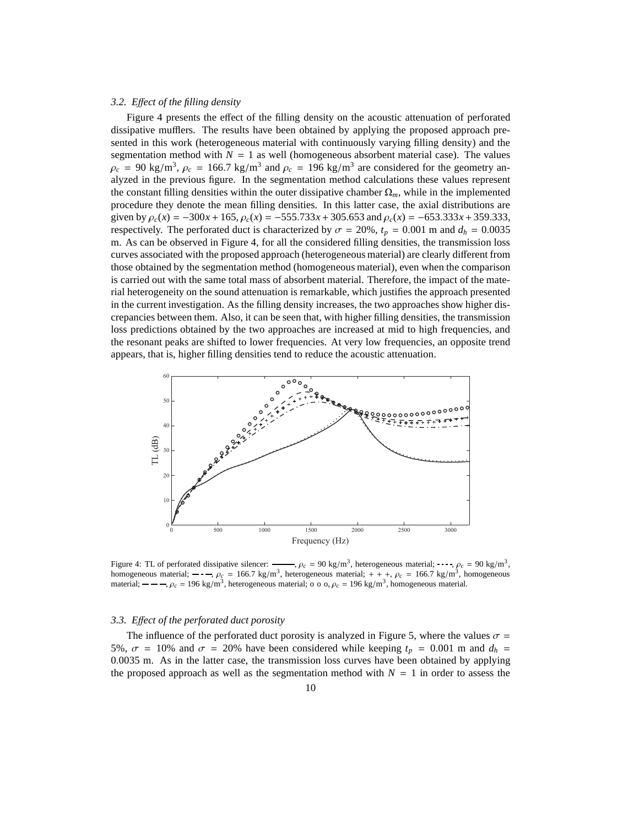#### *3.2. E*ff*ect of the filling density*

Figure 4 presents the effect of the filling density on the acoustic attenuation of perforated dissipative mufflers. The results have been obtained by applying the proposed approach presented in this work (heterogeneous material with continuously varying filling density) and the segmentation method with  $N = 1$  as well (homogeneous absorbent material case). The values  $\rho_c = 90 \text{ kg/m}^3$ ,  $\rho_c = 166.7 \text{ kg/m}^3$  and  $\rho_c = 196 \text{ kg/m}^3$  are considered for the geometry analyzed in the previous figure. In the segmentation method calculations these values represent the constant filling densities within the outer dissipative chamber  $\Omega_m$ , while in the implemented procedure they denote the mean filling densities. In this latter case, the axial distributions are given by  $\rho_c(x) = -300x + 165$ ,  $\rho_c(x) = -555.733x + 305.653$  and  $\rho_c(x) = -653.333x + 359.333$ , respectively. The perforated duct is characterized by  $\sigma = 20\%$ ,  $t_p = 0.001$  m and  $d_h = 0.0035$ m. As can be observed in Figure 4, for all the considered filling densities, the transmission loss curves associated with the proposed approach (heterogeneous material) are clearly different from those obtained by the segmentation method (homogeneous material), even when the comparison is carried out with the same total mass of absorbent material. Therefore, the impact of the material heterogeneity on the sound attenuation is remarkable, which justifies the approach presented in the current investigation. As the filling density increases, the two approaches show higher discrepancies between them. Also, it can be seen that, with higher filling densities, the transmission loss predictions obtained by the two approaches are increased at mid to high frequencies, and the resonant peaks are shifted to lower frequencies. At very low frequencies, an opposite trend appears, that is, higher filling densities tend to reduce the acoustic attenuation.



Figure 4: TL of perforated dissipative silencer:  $-$ , heterogeneous material;  $\cdots$ ,  $\rho_c = 90 \text{ kg/m}^3$ , homogeneous material;  $-\cdots$ ,  $\rho_c = 166.7 \text{ kg/m}^3$ , heterogeneous material;  $+ + +$ ,  $\rho_c = 166.7 \text{ kg/m}^3$ , homogeneous material;  $-\frac{1}{\rho_c} = 196 \text{ kg/m}^3$ , heterogeneous material; o o o,  $\rho_c = 196 \text{ kg/m}^3$ , homogeneous material.

#### *3.3. E*ff*ect of the perforated duct porosity*

The influence of the perforated duct porosity is analyzed in Figure 5, where the values  $\sigma$  = 5%,  $\sigma$  = 10% and  $\sigma$  = 20% have been considered while keeping  $t_p$  = 0.001 m and  $d_h$  = 0.0035 m. As in the latter case, the transmission loss curves have been obtained by applying the proposed approach as well as the segmentation method with  $N = 1$  in order to assess the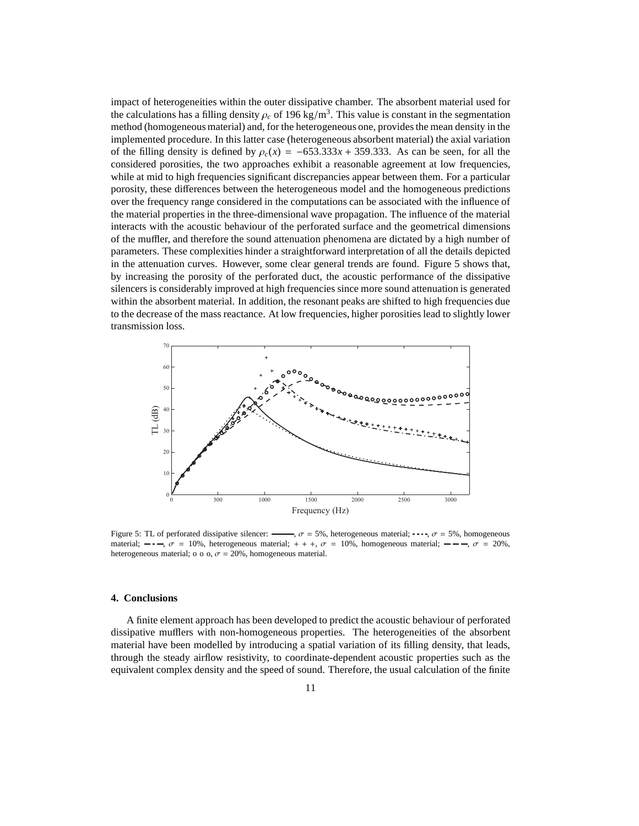impact of heterogeneities within the outer dissipative chamber. The absorbent material used for the calculations has a filling density  $\rho_c$  of 196 kg/m<sup>3</sup>. This value is constant in the segmentation method (homogeneous material) and, for the heterogeneous one, provides the mean density in the implemented procedure. In this latter case (heterogeneous absorbent material) the axial variation of the filling density is defined by  $\rho_c(x) = -653.333x + 359.333$ . As can be seen, for all the considered porosities, the two approaches exhibit a reasonable agreement at low frequencies, while at mid to high frequencies significant discrepancies appear between them. For a particular porosity, these differences between the heterogeneous model and the homogeneous predictions over the frequency range considered in the computations can be associated with the influence of the material properties in the three-dimensional wave propagation. The influence of the material interacts with the acoustic behaviour of the perforated surface and the geometrical dimensions of the muffler, and therefore the sound attenuation phenomena are dictated by a high number of parameters. These complexities hinder a straightforward interpretation of all the details depicted in the attenuation curves. However, some clear general trends are found. Figure 5 shows that, by increasing the porosity of the perforated duct, the acoustic performance of the dissipative silencers is considerably improved at high frequencies since more sound attenuation is generated within the absorbent material. In addition, the resonant peaks are shifted to high frequencies due to the decrease of the mass reactance. At low frequencies, higher porosities lead to slightly lower transmission loss.



Figure 5: TL of perforated dissipative silencer:  $\rightarrow$ ,  $\sigma = 5\%$ , heterogeneous material;  $\rightarrow$ ,  $\sigma = 5\%$ , homogeneous material;  $-\cdot$ ,  $\sigma$  = 10%, heterogeneous material; + + +,  $\sigma$  = 10%, homogeneous material;  $-\cdot$ ,  $\sigma$  = 20%, heterogeneous material; o o o,  $\sigma = 20\%$ , homogeneous material.

## **4. Conclusions**

A finite element approach has been developed to predict the acoustic behaviour of perforated dissipative mufflers with non-homogeneous properties. The heterogeneities of the absorbent material have been modelled by introducing a spatial variation of its filling density, that leads, through the steady airflow resistivity, to coordinate-dependent acoustic properties such as the equivalent complex density and the speed of sound. Therefore, the usual calculation of the finite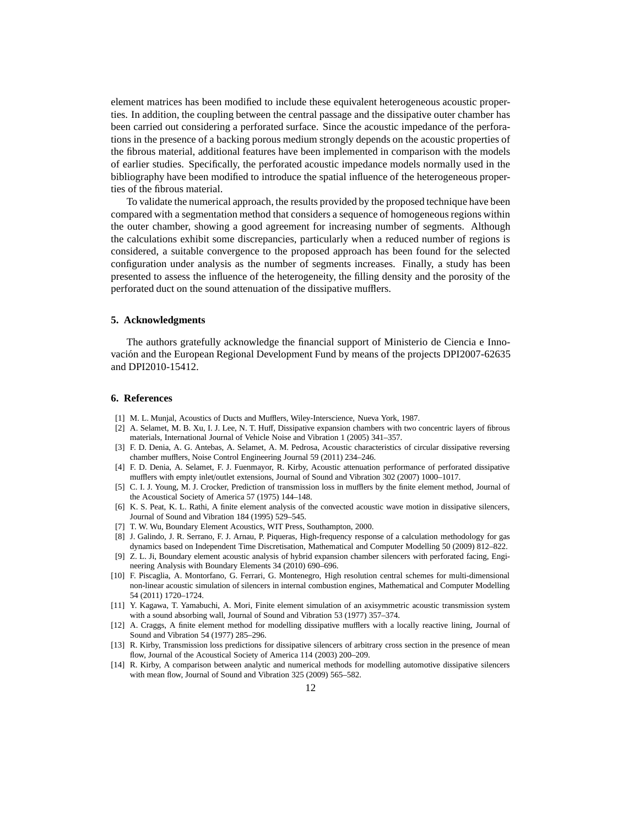element matrices has been modified to include these equivalent heterogeneous acoustic properties. In addition, the coupling between the central passage and the dissipative outer chamber has been carried out considering a perforated surface. Since the acoustic impedance of the perforations in the presence of a backing porous medium strongly depends on the acoustic properties of the fibrous material, additional features have been implemented in comparison with the models of earlier studies. Specifically, the perforated acoustic impedance models normally used in the bibliography have been modified to introduce the spatial influence of the heterogeneous properties of the fibrous material.

To validate the numerical approach, the results provided by the proposed technique have been compared with a segmentation method that considers a sequence of homogeneous regions within the outer chamber, showing a good agreement for increasing number of segments. Although the calculations exhibit some discrepancies, particularly when a reduced number of regions is considered, a suitable convergence to the proposed approach has been found for the selected configuration under analysis as the number of segments increases. Finally, a study has been presented to assess the influence of the heterogeneity, the filling density and the porosity of the perforated duct on the sound attenuation of the dissipative mufflers.

## **5. Acknowledgments**

The authors gratefully acknowledge the financial support of Ministerio de Ciencia e Innovación and the European Regional Development Fund by means of the projects DPI2007-62635 and DPI2010-15412.

#### **6. References**

- [1] M. L. Munjal, Acoustics of Ducts and Mufflers, Wiley-Interscience, Nueva York, 1987.
- [2] A. Selamet, M. B. Xu, I. J. Lee, N. T. Huff, Dissipative expansion chambers with two concentric layers of fibrous materials, International Journal of Vehicle Noise and Vibration 1 (2005) 341–357.
- [3] F. D. Denia, A. G. Antebas, A. Selamet, A. M. Pedrosa, Acoustic characteristics of circular dissipative reversing chamber mufflers, Noise Control Engineering Journal 59 (2011) 234–246.
- [4] F. D. Denia, A. Selamet, F. J. Fuenmayor, R. Kirby, Acoustic attenuation performance of perforated dissipative mufflers with empty inlet/outlet extensions, Journal of Sound and Vibration 302 (2007) 1000–1017.
- [5] C. I. J. Young, M. J. Crocker, Prediction of transmission loss in mufflers by the finite element method, Journal of the Acoustical Society of America 57 (1975) 144–148.
- [6] K. S. Peat, K. L. Rathi, A finite element analysis of the convected acoustic wave motion in dissipative silencers, Journal of Sound and Vibration 184 (1995) 529–545.
- [7] T. W. Wu, Boundary Element Acoustics, WIT Press, Southampton, 2000.
- [8] J. Galindo, J. R. Serrano, F. J. Arnau, P. Piqueras, High-frequency response of a calculation methodology for gas dynamics based on Independent Time Discretisation, Mathematical and Computer Modelling 50 (2009) 812–822.
- [9] Z. L. Ji, Boundary element acoustic analysis of hybrid expansion chamber silencers with perforated facing, Engineering Analysis with Boundary Elements 34 (2010) 690–696.
- [10] F. Piscaglia, A. Montorfano, G. Ferrari, G. Montenegro, High resolution central schemes for multi-dimensional non-linear acoustic simulation of silencers in internal combustion engines, Mathematical and Computer Modelling 54 (2011) 1720–1724.
- [11] Y. Kagawa, T. Yamabuchi, A. Mori, Finite element simulation of an axisymmetric acoustic transmission system with a sound absorbing wall, Journal of Sound and Vibration 53 (1977) 357–374.
- [12] A. Craggs, A finite element method for modelling dissipative mufflers with a locally reactive lining, Journal of Sound and Vibration 54 (1977) 285–296.
- [13] R. Kirby, Transmission loss predictions for dissipative silencers of arbitrary cross section in the presence of mean flow, Journal of the Acoustical Society of America 114 (2003) 200–209.
- [14] R. Kirby, A comparison between analytic and numerical methods for modelling automotive dissipative silencers with mean flow, Journal of Sound and Vibration 325 (2009) 565–582.